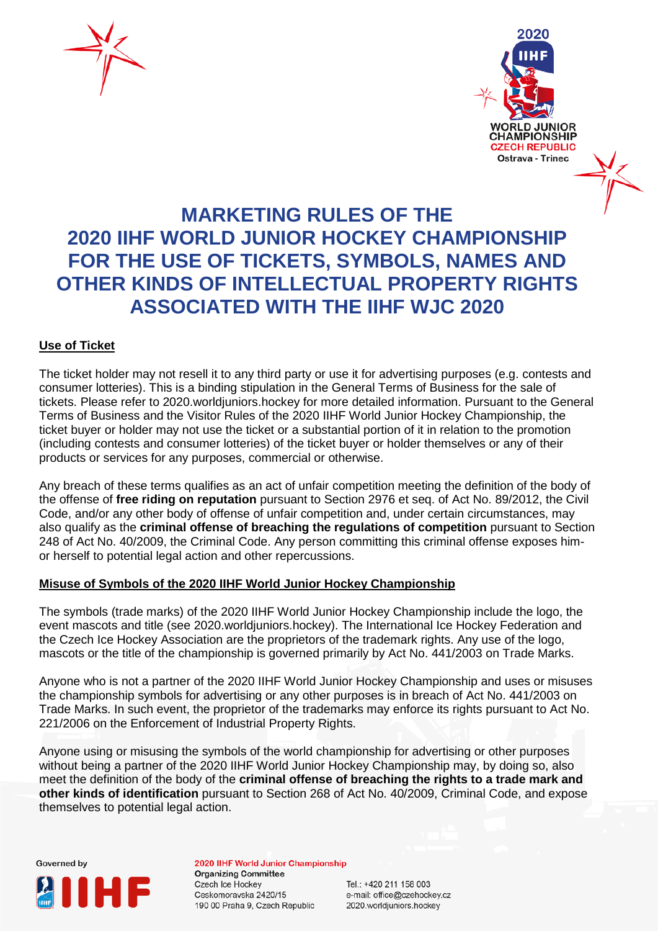



## **MARKETING RULES OF THE 2020 IIHF WORLD JUNIOR HOCKEY CHAMPIONSHIP FOR THE USE OF TICKETS, SYMBOLS, NAMES AND OTHER KINDS OF INTELLECTUAL PROPERTY RIGHTS ASSOCIATED WITH THE IIHF WJC 2020**

## **Use of Ticket**

The ticket holder may not resell it to any third party or use it for advertising purposes (e.g. contests and consumer lotteries). This is a binding stipulation in the General Terms of Business for the sale of tickets. Please refer to 2020.worldjuniors.hockey for more detailed information. Pursuant to the General Terms of Business and the Visitor Rules of the 2020 IIHF World Junior Hockey Championship, the ticket buyer or holder may not use the ticket or a substantial portion of it in relation to the promotion (including contests and consumer lotteries) of the ticket buyer or holder themselves or any of their products or services for any purposes, commercial or otherwise.

Any breach of these terms qualifies as an act of unfair competition meeting the definition of the body of the offense of **free riding on reputation** pursuant to Section 2976 et seq. of Act No. 89/2012, the Civil Code, and/or any other body of offense of unfair competition and, under certain circumstances, may also qualify as the **criminal offense of breaching the regulations of competition** pursuant to Section 248 of Act No. 40/2009, the Criminal Code. Any person committing this criminal offense exposes himor herself to potential legal action and other repercussions.

## **Misuse of Symbols of the 2020 IIHF World Junior Hockey Championship**

The symbols (trade marks) of the 2020 IIHF World Junior Hockey Championship include the logo, the event mascots and title (see 2020.worldjuniors.hockey). The International Ice Hockey Federation and the Czech Ice Hockey Association are the proprietors of the trademark rights. Any use of the logo, mascots or the title of the championship is governed primarily by Act No. 441/2003 on Trade Marks.

Anyone who is not a partner of the 2020 IIHF World Junior Hockey Championship and uses or misuses the championship symbols for advertising or any other purposes is in breach of Act No. 441/2003 on Trade Marks. In such event, the proprietor of the trademarks may enforce its rights pursuant to Act No. 221/2006 on the Enforcement of Industrial Property Rights.

Anyone using or misusing the symbols of the world championship for advertising or other purposes without being a partner of the 2020 IIHF World Junior Hockey Championship may, by doing so, also meet the definition of the body of the **criminal offense of breaching the rights to a trade mark and other kinds of identification** pursuant to Section 268 of Act No. 40/2009, Criminal Code, and expose themselves to potential legal action.



2020 IIHF World Junior Championship **Organizing Committee Czech Ice Hockey** Ceskomoravska 2420/15 190 00 Praha 9, Czech Republic

Tel.: +420 211 158 003 e-mail: office@czehockey.cz 2020.worldjuniors.hockey